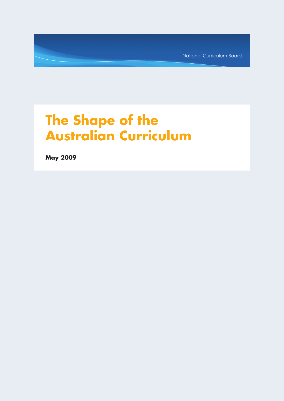National Curriculum Board

# **The Shape of the Australian Curriculum**

**May 2009**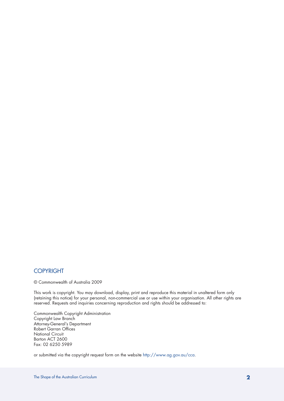## **COPYRIGHT**

© Commonwealth of Australia 2009

This work is copyright. You may download, display, print and reproduce this material in unaltered form only (retaining this notice) for your personal, non-commercial use or use within your organisation. All other rights are reserved. Requests and inquiries concerning reproduction and rights should be addressed to:

Commonwealth Copyright Administration Copyright Law Branch Attorney-General's Department Robert Garran Offices National Circuit Barton ACT 2600 Fax: 02 6250 5989

or submitted via the copyright request form on the website http://www.ag.gov.au/cca.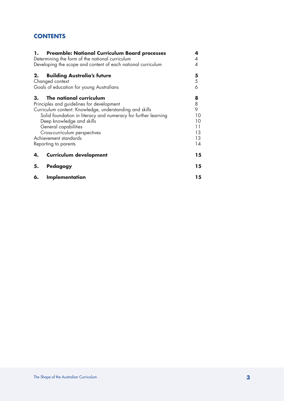# **CONTENTS**

| 1. | <b>Preamble: National Curriculum Board processes</b><br>Determining the form of the national curriculum<br>Developing the scope and content of each national curriculum                                                                                                                                                                  | 4<br>4<br>4                                                                    |
|----|------------------------------------------------------------------------------------------------------------------------------------------------------------------------------------------------------------------------------------------------------------------------------------------------------------------------------------------|--------------------------------------------------------------------------------|
| 2. | <b>Building Australia's future</b><br>Changed context<br>Goals of education for young Australians                                                                                                                                                                                                                                        | 5<br>5<br>6                                                                    |
| З. | The national curriculum<br>Principles and guidelines for development<br>Curriculum content: Knowledge, understanding and skills<br>Solid foundation in literacy and numeracy for further learning<br>Deep knowledge and skills<br>General capabilities<br>Cross-curriculum perspectives<br>Achievement standards<br>Reporting to parents | 8<br>$\begin{array}{c} 8 \\ 9 \end{array}$<br>10<br>10<br>11<br>13<br>13<br>14 |
| 4. | <b>Curriculum development</b>                                                                                                                                                                                                                                                                                                            | 15                                                                             |
| 5. | <b>Pedagogy</b>                                                                                                                                                                                                                                                                                                                          | 15                                                                             |
| 6. | Implementation                                                                                                                                                                                                                                                                                                                           | 15                                                                             |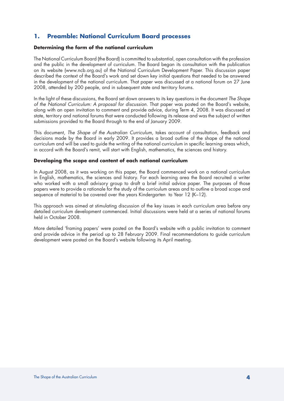# **1. Preamble: National Curriculum Board processes**

#### **Determining the form of the national curriculum**

The National Curriculum Board (the Board) is committed to substantial, open consultation with the profession and the public in the development of curriculum. The Board began its consultation with the publication on its website (www.ncb.org.au) of the National Curriculum Development Paper. This discussion paper described the context of the Board's work and set down key initial questions that needed to be answered in the development of the national curriculum. That paper was discussed at a national forum on 27 June 2008, attended by 200 people, and in subsequent state and territory forums.

In the light of these discussions, the Board set down answers to its key questions in the document *The Shape of the National Curriculum: A proposal for discussion.* That paper was posted on the Board's website, along with an open invitation to comment and provide advice, during Term 4, 2008. It was discussed at state, territory and national forums that were conducted following its release and was the subject of written submissions provided to the Board through to the end of January 2009.

This document, *The Shape of the Australian Curriculum,* takes account of consultation, feedback and decisions made by the Board in early 2009. It provides a broad outline of the shape of the national curriculum and will be used to guide the writing of the national curriculum in specific learning areas which, in accord with the Board's remit, will start with English, mathematics, the sciences and history.

#### **Developing the scope and content of each national curriculum**

In August 2008, as it was working on this paper, the Board commenced work on a national curriculum in English, mathematics, the sciences and history. For each learning area the Board recruited a writer who worked with a small advisory group to draft a brief initial advice paper. The purposes of those papers were to provide a rationale for the study of the curriculum areas and to outline a broad scope and sequence of material to be covered over the years Kindergarten to Year 12 (K–12).

This approach was aimed at stimulating discussion of the key issues in each curriculum area before any detailed curriculum development commenced. Initial discussions were held at a series of national forums held in October 2008.

More detailed 'framing papers' were posted on the Board's website with a public invitation to comment and provide advice in the period up to 28 February 2009. Final recommendations to guide curriculum development were posted on the Board's website following its April meeting.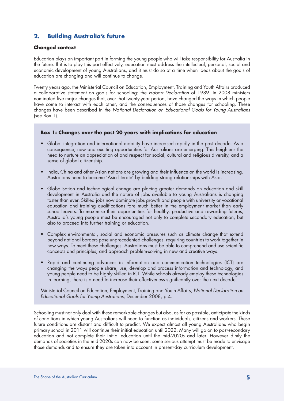# **2. Building Australia's future**

#### **Changed context**

Education plays an important part in forming the young people who will take responsibility for Australia in the future. If it is to play this part effectively, education must address the intellectual, personal, social and economic development of young Australians, and it must do so at a time when ideas about the goals of education are changing and will continue to change.

Twenty years ago, the Ministerial Council on Education, Employment, Training and Youth Affairs produced a collaborative statement on goals for schooling: the *Hobart Declaration* of 1989. In 2008 ministers nominated five major changes that, over that twenty-year period, have changed the ways in which people have come to interact with each other, and the consequences of those changes for schooling. These changes have been described in the *National Declaration on Educational Goals for Young Australians*  (see Box 1).

#### **Box 1: Changes over the past 20 years with implications for education**

- Global integration and international mobility have increased rapidly in the past decade. As a consequence, new and exciting opportunities for Australians are emerging. This heightens the need to nurture an appreciation of and respect for social, cultural and religious diversity, and a sense of global citizenship.
- India, China and other Asian nations are growing and their influence on the world is increasing. Australians need to become 'Asia literate' by building strong relationships with Asia.
- Globalisation and technological change are placing greater demands on education and skill development in Australia and the nature of jobs available to young Australians is changing faster than ever. Skilled jobs now dominate jobs growth and people with university or vocational education and training qualifications fare much better in the employment market than early school-leavers. To maximise their opportunities for healthy, productive and rewarding futures, Australia's young people must be encouraged not only to complete secondary education, but also to proceed into further training or education.
- Complex environmental, social and economic pressures such as climate change that extend beyond national borders pose unprecedented challenges, requiring countries to work together in new ways. To meet these challenges, Australians must be able to comprehend and use scientific concepts and principles, and approach problem-solving in new and creative ways.
- Rapid and continuing advances in information and communication technologies (ICT) are changing the ways people share, use, develop and process information and technology, and young people need to be highly skilled in ICT. While schools already employ these technologies in learning, there is a need to increase their effectiveness significantly over the next decade.

Ministerial Council on Education, Employment, Training and Youth Affairs, *National Declaration on Educational Goals for Young Australians*, December 2008, p.4.

Schooling must not only deal with these remarkable changes but also, as far as possible, anticipate the kinds of conditions in which young Australians will need to function as individuals, citizens and workers. These future conditions are distant and difficult to predict. We expect almost all young Australians who begin primary school in 2011 will continue their initial education until 2022. Many will go on to post-secondary education and not complete their initial education until the mid-2020s and later. However dimly the demands of societies in the mid-2020s can now be seen, some serious attempt must be made to envisage those demands and to ensure they are taken into account in present-day curriculum development.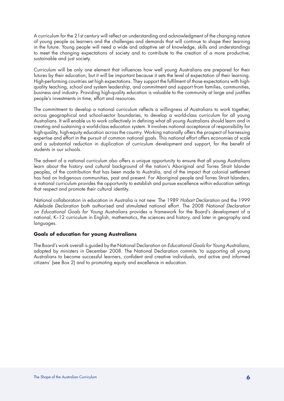A curriculum for the 21st century will reflect an understanding and acknowledgment of the changing nature of young people as learners and the challenges and demands that will continue to shape their learning in the future. Young people will need a wide and adaptive set of knowledge, skills and understandings to meet the changing expectations of society and to contribute to the creation of a more productive, sustainable and just society.

Curriculum will be only one element that influences how well young Australians are prepared for their futures by their education, but it will be important because it sets the level of expectation of their learning. High-performing countries set high expectations. They support the fulfilment of those expectations with highquality teaching, school and system leadership, and commitment and support from families, communities, business and industry. Providing high-quality education is valuable to the community at large and justifies people's investments in time, effort and resources.

The commitment to develop a national curriculum reflects a willingness of Australians to work together, across geographical and school-sector boundaries, to develop a world-class curriculum for all young Australians. It will enable us to work collectively in defining what all young Australians should learn and in creating and sustaining a world-class education system. It involves national acceptance of responsibility for high-quality, high-equity education across the country. Working nationally offers the prospect of harnessing expertise and effort in the pursuit of common national goals. This national effort offers economies of scale and a substantial reduction in duplication of curriculum development and support, for the benefit of students in our schools.

The advent of a national curriculum also offers a unique opportunity to ensure that all young Australians learn about the history and cultural background of the nation's Aboriginal and Torres Strait Islander peoples, of the contribution that has been made to Australia, and of the impact that colonial settlement has had on Indigenous communities, past and present. For Aboriginal people and Torres Strait Islanders, a national curriculum provides the opportunity to establish and pursue excellence within education settings that respect and promote their cultural identity.

National collaboration in education in Australia is not new. The 1989 *Hobart Declaration* and the 1999 *Adelaide Declaration* both authorised and stimulated national effort. The 2008 *National Declaration on Educational Goals for Young Australians* provides a framework for the Board's development of a national, K–12 curriculum in English, mathematics, the sciences and history, and later in geography and languages.

## **Goals of education for young Australians**

The Board's work overall is guided by the National Declaration on *Educational Goals for Young Australians*, adopted by ministers in December 2008. The National Declaration commits 'to supporting all young Australians to become successful learners, confident and creative individuals, and active and informed citizens' (see Box 2) and to promoting equity and excellence in education.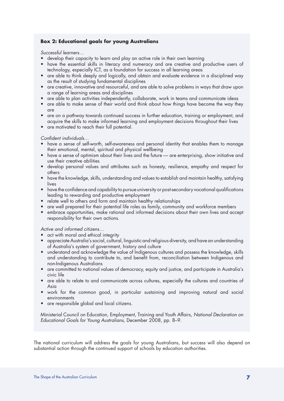## **Box 2: Educational goals for young Australians**

*Successful learners…*

- develop their capacity to learn and play an active role in their own learning
- have the essential skills in literacy and numeracy and are creative and productive users of technology, especially ICT, as a foundation for success in all learning areas
- are able to think deeply and logically, and obtain and evaluate evidence in a disciplined way as the result of studying fundamental disciplines
- • are creative, innovative and resourceful, and are able to solve problems in ways that draw upon a range of learning areas and disciplines
- are able to plan activities independently, collaborate, work in teams and communicate ideas
- are able to make sense of their world and think about how things have become the way they are
- are on a pathway towards continued success in further education, training or employment, and acquire the skills to make informed learning and employment decisions throughout their lives
- are motivated to reach their full potential.

#### *Confident individuals…*

- have a sense of self-worth, self-awareness and personal identity that enables them to manage their emotional, mental, spiritual and physical wellbeing
- have a sense of optimism about their lives and the future are enterprising, show initiative and use their creative abilities
- develop personal values and attributes such as honesty, resilience, empathy and respect for others
- have the knowledge, skills, understanding and values to establish and maintain healthy, satisfying lives
- • have the confidence and capability to pursue university or post-secondary vocational qualifications leading to rewarding and productive employment
- relate well to others and form and maintain healthy relationships
- • are well prepared for their potential life roles as family, community and workforce members
- embrace opportunities, make rational and informed decisions about their own lives and accept responsibility for their own actions.

#### *Active and informed citizens…*

- act with moral and ethical integrity
- appreciate Australia's social, cultural, linguistic and religious diversity, and have an understanding of Australia's system of government, history and culture
- understand and acknowledge the value of Indigenous cultures and possess the knowledge, skills and understanding to contribute to, and benefit from, reconciliation between Indigenous and non-Indigenous Australians
- are committed to national values of democracy, equity and justice, and participate in Australia's civic life
- are able to relate to and communicate across cultures, especially the cultures and countries of Asia
- work for the common good, in particular sustaining and improving natural and social environments
- are responsible global and local citizens.

Ministerial Council on Education, Employment, Training and Youth Affairs, *National Declaration on Educational Goals for Young Australians*, December 2008, pp. 8–9.

The national curriculum will address the goals for young Australians, but success will also depend on substantial action through the continued support of schools by education authorities.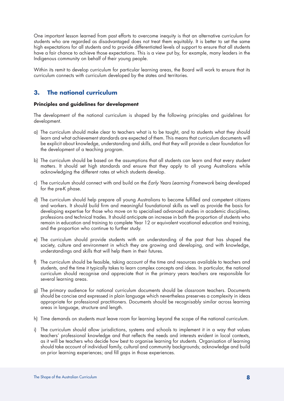One important lesson learned from past efforts to overcome inequity is that an alternative curriculum for students who are regarded as disadvantaged does not treat them equitably. It is better to set the same high expectations for all students and to provide differentiated levels of support to ensure that all students have a fair chance to achieve those expectations. This is a view put by, for example, many leaders in the Indigenous community on behalf of their young people.

Within its remit to develop curriculum for particular learning areas, the Board will work to ensure that its curriculum connects with curriculum developed by the states and territories.

# **3. The national curriculum**

## **Principles and guidelines for development**

The development of the national curriculum is shaped by the following principles and guidelines for development.

- a) The curriculum should make clear to teachers what is to be taught, and to students what they should learn and what achievement standards are expected of them. This means that curriculum documents will be explicit about knowledge, understanding and skills, and that they will provide a clear foundation for the development of a teaching program.
- b) The curriculum should be based on the assumptions that all students can learn and that every student matters. It should set high standards and ensure that they apply to all young Australians while acknowledging the different rates at which students develop.
- c) The curriculum should connect with and build on the *Early Years Learning Framework* being developed for the pre-K phase.
- d) The curriculum should help prepare all young Australians to become fulfilled and competent citizens and workers. It should build firm and meaningful foundational skills as well as provide the basis for developing expertise for those who move on to specialised advanced studies in academic disciplines, professions and technical trades. It should anticipate an increase in both the proportion of students who remain in education and training to complete Year 12 or equivalent vocational education and training, and the proportion who continue to further study.
- e) The curriculum should provide students with an understanding of the past that has shaped the society, culture and environment in which they are growing and developing, and with knowledge, understandings and skills that will help them in their futures.
- f) The curriculum should be feasible, taking account of the time and resources available to teachers and students, and the time it typically takes to learn complex concepts and ideas. In particular, the national curriculum should recognise and appreciate that in the primary years teachers are responsible for several learning areas.
- g) The primary audience for national curriculum documents should be classroom teachers. Documents should be concise and expressed in plain language which nevertheless preserves a complexity in ideas appropriate for professional practitioners. Documents should be recognisably similar across learning areas in language, structure and length.
- h) Time demands on students must leave room for learning beyond the scope of the national curriculum.
- i) The curriculum should allow jurisdictions, systems and schools to implement it in a way that values teachers' professional knowledge and that reflects the needs and interests evident in local contexts, as it will be teachers who decide how best to organise learning for students. Organisation of learning should take account of individual family, cultural and community backgrounds; acknowledge and build on prior learning experiences; and fill gaps in those experiences.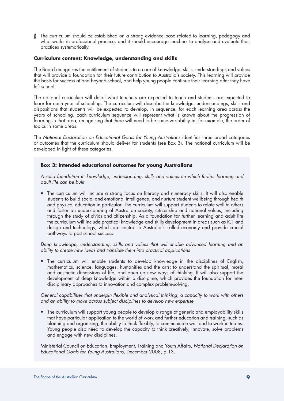j) The curriculum should be established on a strong evidence base related to learning, pedagogy and what works in professional practice, and it should encourage teachers to analyse and evaluate their practices systematically.

#### **Curriculum content: Knowledge, understanding and skills**

The Board recognises the entitlement of students to a core of knowledge, skills, understandings and values that will provide a foundation for their future contribution to Australia's society. This learning will provide the basis for success at and beyond school, and help young people continue their learning after they have left school.

The national curriculum will detail what teachers are expected to teach and students are expected to learn for each year of schooling. The curriculum will describe the knowledge, understandings, skills and dispositions that students will be expected to develop, in sequence, for each learning area across the years of schooling. Each curriculum sequence will represent what is known about the progression of learning in that area, recognising that there will need to be some variability in, for example, the order of topics in some areas.

The *National Declaration on Educational Goals for Young Australians* identifies three broad categories of outcomes that the curriculum should deliver for students (see Box 3). The national curriculum will be developed in light of these categories.

#### **Box 3: Intended educational outcomes for young Australians**

*A solid foundation in knowledge, understanding, skills and values on which further learning and adult life can be built*

• The curriculum will include a strong focus on literacy and numeracy skills. It will also enable students to build social and emotional intelligence, and nurture student wellbeing through health and physical education in particular. The curriculum will support students to relate well to others and foster an understanding of Australian society, citizenship and national values, including through the study of civics and citizenship. As a foundation for further learning and adult life the curriculum will include practical knowledge and skills development in areas such as ICT and design and technology, which are central to Australia's skilled economy and provide crucial pathways to post-school success.

*Deep knowledge, understanding, skills and values that will enable advanced learning and an ability to create new ideas and translate them into practical applications*

• The curriculum will enable students to develop knowledge in the disciplines of English, mathematics, science, languages, humanities and the arts; to understand the spiritual, moral and aesthetic dimensions of life; and open up new ways of thinking. It will also support the development of deep knowledge within a discipline, which provides the foundation for interdisciplinary approaches to innovation and complex problem-solving.

*General capabilities that underpin flexible and analytical thinking, a capacity to work with others and an ability to move across subject disciplines to develop new expertise*

• The curriculum will support young people to develop a range of generic and employability skills that have particular application to the world of work and further education and training, such as planning and organising, the ability to think flexibly, to communicate well and to work in teams. Young people also need to develop the capacity to think creatively, innovate, solve problems and engage with new disciplines.

Ministerial Council on Education, Employment, Training and Youth Affairs, *National Declaration on Educational Goals for Young Australians*, December 2008, p.13.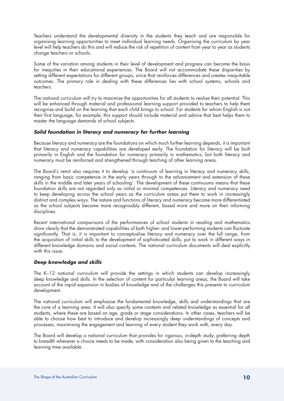Teachers understand the developmental diversity in the students they teach and are responsible for organising learning opportunities to meet individual learning needs. Organising the curriculum by year level will help teachers do this and will reduce the risk of repetition of content from year to year as students change teachers or schools.

Some of the variation among students in their level of development and progress can become the basis for inequities in their educational experiences. The Board will not accommodate these disparities by setting different expectations for different groups, since that reinforces differences and creates inequitable outcomes. The primary role in dealing with these differences lies with school systems, schools and teachers.

The national curriculum will try to maximise the opportunities for all students to realise their potential. This will be enhanced through material and professional learning support provided to teachers to help them recognise and build on the learning that each child brings to school. For students for whom English is not their first language, for example, this support should include material and advice that best helps them to master the language demands of school subjects.

#### *Solid foundation in literacy and numeracy for further learning*

Because literacy and numeracy are the foundations on which much further learning depends, it is important that literacy and numeracy capabilities are developed early. The foundation for literacy will be built primarily in English and the foundation for numeracy primarily in mathematics, but both literacy and numeracy must be reinforced and strengthened through teaching of other learning areas.

The Board's remit also requires it to develop 'a continuum of learning in literacy and numeracy skills, ranging from basic competence in the early years through to the advancement and extension of these skills in the middle and later years of schooling'. The development of these continuums means that these foundation skills are not regarded only as initial or minimal competences. Literacy and numeracy need to keep developing across the school years as the curriculum areas put them to work in increasingly distinct and complex ways. The nature and functions of literacy and numeracy become more differentiated as the school subjects become more recognisably different, based more and more on their informing disciplines.

Recent international comparisons of the performances of school students in reading and mathematics show clearly that the demonstrated capabilities of both higher- and lower-performing students can fluctuate significantly. That is, it is important to conceptualise literacy and numeracy over the full range, from the acquisition of initial skills to the development of sophisticated skills, put to work in different ways in different knowledge domains and social contexts. The national curriculum documents will deal explicitly with this issue.

#### *Deep knowledge and skills*

The K–12 national curriculum will provide the settings in which students can develop increasingly deep knowledge and skills. In the selection of content for particular learning areas, the Board will take account of the rapid expansion in bodies of knowledge and of the challenges this presents to curriculum development.

The national curriculum will emphasise the fundamental knowledge, skills and understandings that are the core of a learning area. It will also specify some contexts and related knowledge as essential for all students, where these are based on age, grade or stage considerations. In other cases, teachers will be able to choose how best to introduce and develop increasingly deep understandings of concepts and processes, maximising the engagement and learning of every student they work with, every day.

The Board will develop a national curriculum that provides for rigorous, in-depth study, preferring depth to breadth wherever a choice needs to be made, with consideration also being given to the teaching and learning time available.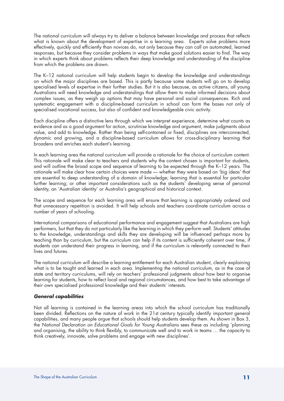The national curriculum will always try to deliver a balance between knowledge and process that reflects what is known about the development of expertise in a learning area. Experts solve problems more effectively, quickly and efficiently than novices do, not only because they can call on automated, learned responses, but because they consider problems in ways that make good solutions easier to find. The way in which experts think about problems reflects their deep knowledge and understanding of the discipline from which the problems are drawn.

The K–12 national curriculum will help students begin to develop the knowledge and understandings on which the major disciplines are based. This is partly because some students will go on to develop specialised levels of expertise in their further studies. But it is also because, as active citizens, all young Australians will need knowledge and understandings that allow them to make informed decisions about complex issues, as they weigh up options that may have personal and social consequences. Rich and systematic engagement with a discipline-based curriculum in school can form the bases not only of specialised vocational success, but also of confident and knowledgeable civic activity.

Each discipline offers a distinctive lens through which we interpret experience, determine what counts as evidence and as a good argument for action, scrutinise knowledge and argument, make judgments about value, and add to knowledge. Rather than being self-contained or fixed, disciplines are interconnected, dynamic and growing, and a discipline-based curriculum allows for cross-disciplinary learning that broadens and enriches each student's learning.

In each learning area the national curriculum will provide a rationale for the choice of curriculum content. This rationale will make clear to teachers and students why the content chosen is important for students, and will outline the broad scope and sequence of learning to be expected through the K–12 years. The rationale will make clear how certain choices were made — whether they were based on 'big ideas' that are essential to deep understanding of a domain of knowledge; learning that is essential for particular further learning; or other important considerations such as the students' developing sense of personal identity, an 'Australian identity' or Australia's geographical and historical context.

The scope and sequence for each learning area will ensure that learning is appropriately ordered and that unnecessary repetition is avoided. It will help schools and teachers coordinate curriculum across a number of years of schooling.

International comparisons of educational performance and engagement suggest that Australians are high performers, but that they do not particularly like the learning in which they perform well. Students' attitudes to the knowledge, understandings and skills they are developing will be influenced perhaps more by teaching than by curriculum, but the curriculum can help if its content is sufficiently coherent over time, if students can understand their progress in learning, and if the curriculum is relevantly connected to their lives and futures.

The national curriculum will describe a learning entitlement for each Australian student, clearly explaining what is to be taught and learned in each area. Implementing the national curriculum, as in the case of state and territory curriculums, will rely on teachers' professional judgments about how best to organise learning for students, how to reflect local and regional circumstances, and how best to take advantage of their own specialised professional knowledge and their students' interests.

## *General capabilities*

Not all learning is contained in the learning areas into which the school curriculum has traditionally been divided. Reflections on the nature of work in the 21st century typically identify important general capabilities, and many people argue that schools should help students develop them. As shown in Box 3, the *National Declaration on Educational Goals for Young Australians* sees these as including 'planning and organising, the ability to think flexibly, to communicate well and to work in teams … the capacity to think creatively, innovate, solve problems and engage with new disciplines'.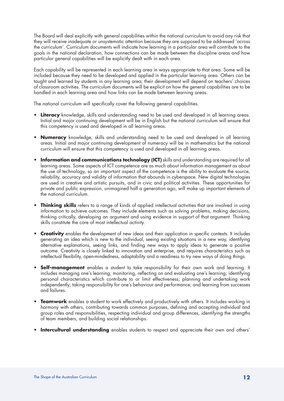The Board will deal explicitly with general capabilities within the national curriculum to avoid any risk that they will receive inadequate or unsystematic attention because they are supposed to be addressed 'across the curriculum'. Curriculum documents will indicate how learning in a particular area will contribute to the goals in the national declaration, how connections can be made between the discipline areas and how particular general capabilities will be explicitly dealt with in each area.

Each capability will be represented in each learning area in ways appropriate to that area. Some will be included because they need to be developed and applied in the particular learning area. Others can be taught and learned by students in any learning area; their development will depend on teachers' choices of classroom activities. The curriculum documents will be explicit on how the general capabilities are to be handled in each learning area and how links can be made between learning areas.

The national curriculum will specifically cover the following general capabilities.

- • **Literacy** knowledge, skills and understanding need to be used and developed in all learning areas. Initial and major continuing development will be in English but the national curriculum will ensure that this competency is used and developed in all learning areas.
- **Numeracy** knowledge, skills and understanding need to be used and developed in all learning areas. Initial and major continuing development of numeracy will be in mathematics but the national curriculum will ensure that this competency is used and developed in all learning areas.
- **Information and communications technology (ICT)** skills and understanding are required for all learning areas. Some aspects of ICT competence are as much about information management as about the use of technology, so an important aspect of the competence is the ability to evaluate the source, reliability, accuracy and validity of information that abounds in cyberspace. New digital technologies are used in creative and artistic pursuits, and in civic and political activities. These opportunities for private and public expression, unimagined half a generation ago, will make up important elements of the national curriculum.
- **Thinking skills** refers to a range of kinds of applied intellectual activities that are involved in using information to achieve outcomes. They include elements such as solving problems, making decisions, thinking critically, developing an argument and using evidence in support of that argument. Thinking skills constitute the core of most intellectual activity.
- **Creativity** enables the development of new ideas and their application in specific contexts. It includes generating an idea which is new to the individual, seeing existing situations in a new way, identifying alternative explanations, seeing links, and finding new ways to apply ideas to generate a positive outcome. Creativity is closely linked to innovation and enterprise, and requires characteristics such as intellectual flexibility, open-mindedness, adaptability and a readiness to try new ways of doing things.
- **Self-management** enables a student to take responsibility for their own work and learning. It includes managing one's learning; monitoring, reflecting on and evaluating one's learning; identifying personal characteristics which contribute to or limit effectiveness; planning and undertaking work independently; taking responsibility for one's behaviour and performance; and learning from successes and failures.
- **Teamwork** enables a student to work effectively and productively with others. It includes working in harmony with others, contributing towards common purposes, defining and accepting individual and group roles and responsibilities, respecting individual and group differences, identifying the strengths of team members, and building social relationships.
- **Intercultural understanding** enables students to respect and appreciate their own and others'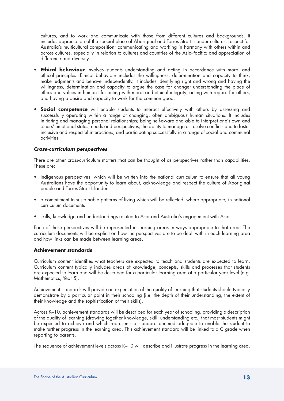cultures, and to work and communicate with those from different cultures and backgrounds. It includes appreciation of the special place of Aboriginal and Torres Strait Islander cultures; respect for Australia's multicultural composition; communicating and working in harmony with others within and across cultures, especially in relation to cultures and countries of the Asia-Pacific; and appreciation of difference and diversity.

- **Ethical behaviour** involves students understanding and acting in accordance with moral and ethical principles. Ethical behaviour includes the willingness, determination and capacity to think, make judgments and behave independently. It includes identifying right and wrong and having the willingness, determination and capacity to argue the case for change; understanding the place of ethics and values in human life; acting with moral and ethical integrity; acting with regard for others; and having a desire and capacity to work for the common good.
- **Social competence** will enable students to interact effectively with others by assessing and successfully operating within a range of changing, often ambiguous human situations. It includes initiating and managing personal relationships; being self-aware and able to interpret one's own and others' emotional states, needs and perspectives; the ability to manage or resolve conflicts and to foster inclusive and respectful interactions; and participating successfully in a range of social and communal activities.

## *Cross-curriculum perspectives*

There are other cross-curriculum matters that can be thought of as perspectives rather than capabilities. These are:

- Indigenous perspectives, which will be written into the national curriculum to ensure that all young Australians have the opportunity to learn about, acknowledge and respect the culture of Aboriginal people and Torres Strait Islanders
- a commitment to sustainable patterns of living which will be reflected, where appropriate, in national curriculum documents
- skills, knowledge and understandings related to Asia and Australia's engagement with Asia.

Each of these perspectives will be represented in learning areas in ways appropriate to that area. The curriculum documents will be explicit on how the perspectives are to be dealt with in each learning area and how links can be made between learning areas.

## **Achievement standards**

Curriculum content identifies what teachers are expected to teach and students are expected to learn. Curriculum content typically includes areas of knowledge, concepts, skills and processes that students are expected to learn and will be described for a particular learning area at a particular year level (e.g. Mathematics, Year 5).

Achievement standards will provide an expectation of the quality of learning that students should typically demonstrate by a particular point in their schooling (i.e. the depth of their understanding, the extent of their knowledge and the sophistication of their skills).

Across K–10, achievement standards will be described for each year of schooling, providing a description of the quality of learning (drawing together knowledge, skill, understanding etc.) that most students might be expected to achieve and which represents a standard deemed adequate to enable the student to make further progress in the learning area. This achievement standard will be linked to a C grade when reporting to parents.

The sequence of achievement levels across K–10 will describe and illustrate progress in the learning area.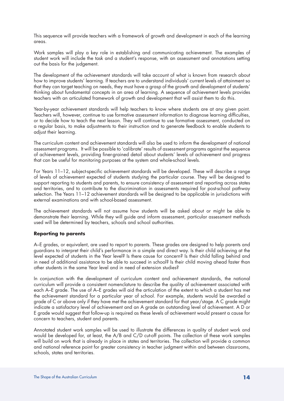This sequence will provide teachers with a framework of growth and development in each of the learning areas.

Work samples will play a key role in establishing and communicating achievement. The examples of student work will include the task and a student's response, with an assessment and annotations setting out the basis for the judgement.

The development of the achievement standards will take account of what is known from research about how to improve students' learning. If teachers are to understand individuals' current levels of attainment so that they can target teaching on needs, they must have a grasp of the growth and development of students' thinking about fundamental concepts in an area of learning. A sequence of achievement levels provides teachers with an articulated framework of growth and development that will assist them to do this.

Year-by-year achievement standards will help teachers to know where students are at any given point. Teachers will, however, continue to use formative assessment information to diagnose learning difficulties, or to decide how to teach the next lesson. They will continue to use formative assessment, conducted on a regular basis, to make adjustments to their instruction and to generate feedback to enable students to adjust their learning.

The curriculum content and achievement standards will also be used to inform the development of national assessment programs. It will be possible to 'calibrate' results of assessment programs against the sequence of achievement levels, providing finer-grained detail about students' levels of achievement and progress that can be useful for monitoring purposes at the system and whole-school levels.

For Years 11–12, subject-specific achievement standards will be developed. These will describe a range of levels of achievement expected of students studying the particular course. They will be designed to support reporting to students and parents, to ensure consistency of assessment and reporting across states and territories, and to contribute to the discrimination in assessments required for post-school pathway selection. The Years 11–12 achievement standards will be designed to be applicable in jurisdictions with external examinations and with school-based assessment.

The achievement standards will not assume how students will be asked about or might be able to demonstrate their learning. While they will guide and inform assessment, particular assessment methods used will be determined by teachers, schools and school authorities.

## **Reporting to parents**

A–E grades, or equivalent, are used to report to parents. These grades are designed to help parents and guardians to interpret their child's performance in a simple and direct way. Is their child achieving at the level expected of students in the Year level? Is there cause for concern? Is their child falling behind and in need of additional assistance to be able to succeed in school? Is their child moving ahead faster than other students in the same Year level and in need of extension studies?

In conjunction with the development of curriculum content and achievement standards, the national curriculum will provide a consistent nomenclature to describe the quality of achievement associated with each A–E grade. The use of A–E grades will aid the articulation of the extent to which a student has met the achievement standard for a particular year of school. For example, students would be awarded a grade of C or above only if they have met the achievement standard for that year/stage. A C grade might indicate a satisfactory level of achievement and an A grade an outstanding level of achievement. A D or E grade would suggest that follow-up is required as these levels of achievement would present a cause for concern to teachers, student and parents.

Annotated student work samples will be used to illustrate the differences in quality of student work and would be developed for, at least, the A/B and C/D cut-off points. The collection of these work samples will build on work that is already in place in states and territories. The collection will provide a common and national reference point for greater consistency in teacher judgment within and between classrooms, schools, states and territories.